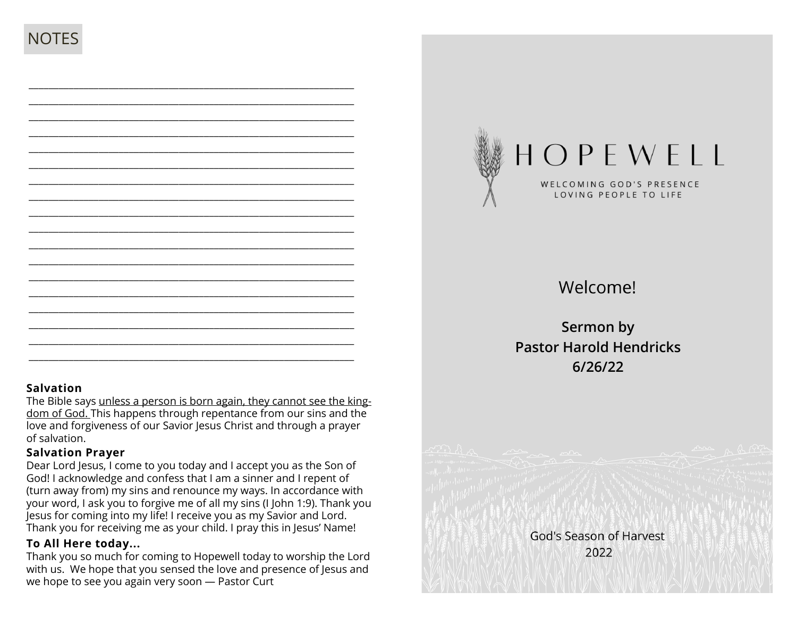\_\_\_\_\_\_\_\_\_\_\_\_\_\_\_\_\_\_\_\_\_\_\_\_\_\_\_\_\_\_\_\_\_\_\_\_\_\_\_\_\_\_\_\_\_\_\_\_\_\_\_\_\_\_\_\_\_\_\_\_\_\_\_\_\_

#### **Salvation**

The Bible says unless a person is born again, they cannot see the kingdom of God. This happens through repentance from our sins and the love and forgiveness of our Savior Jesus Christ and through a prayer of salvation.

\_\_\_\_\_\_\_\_\_\_\_\_\_\_\_\_\_\_\_\_\_\_\_\_\_\_\_\_\_\_\_\_\_\_\_\_\_\_\_\_\_\_\_\_\_\_\_\_\_\_\_\_\_\_\_\_\_\_\_\_\_\_\_\_\_ \_\_\_\_\_\_\_\_\_\_\_\_\_\_\_\_\_\_\_\_\_\_\_\_\_\_\_\_\_\_\_\_\_\_\_\_\_\_\_\_\_\_\_\_\_\_\_\_\_\_\_\_\_\_\_\_\_\_\_\_\_\_\_\_\_

### **Salvation Prayer**

Dear Lord Jesus, I come to you today and I accept you as the Son of God! I acknowledge and confess that I am a sinner and I repent of (turn away from) my sins and renounce my ways. In accordance with your word, I ask you to forgive me of all my sins (I John 1:9). Thank you Jesus for coming into my life! I receive you as my Savior and Lord. Thank you for receiving me as your child. I pray this in Jesus' Name!

### **To All Here today...**

Thank you so much for coming to Hopewell today to worship the Lord with us. We hope that you sensed the love and presence of Jesus and we hope to see you again very soon — Pastor Curt



# Welcome!

**Sermon by Pastor Harold Hendricks 6/26/22**